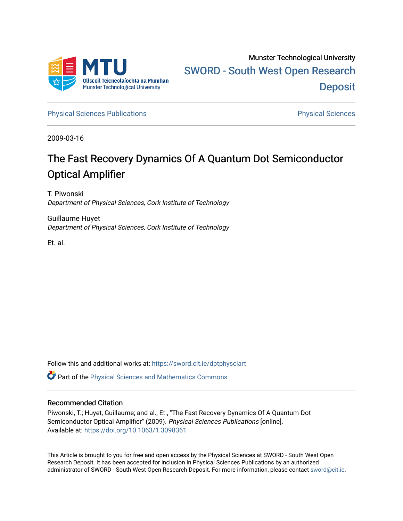

[Physical Sciences Publications](https://sword.cit.ie/dptphysciart) **Physical Sciences** Physical Sciences

2009-03-16

# The Fast Recovery Dynamics Of A Quantum Dot Semiconductor Optical Amplifier

T. Piwonski Department of Physical Sciences, Cork Institute of Technology

Guillaume Huyet Department of Physical Sciences, Cork Institute of Technology

Et. al.

Follow this and additional works at: [https://sword.cit.ie/dptphysciart](https://sword.cit.ie/dptphysciart?utm_source=sword.cit.ie%2Fdptphysciart%2F27&utm_medium=PDF&utm_campaign=PDFCoverPages)

Part of the [Physical Sciences and Mathematics Commons](http://network.bepress.com/hgg/discipline/114?utm_source=sword.cit.ie%2Fdptphysciart%2F27&utm_medium=PDF&utm_campaign=PDFCoverPages) 

### Recommended Citation

Piwonski, T.; Huyet, Guillaume; and al., Et., "The Fast Recovery Dynamics Of A Quantum Dot Semiconductor Optical Amplifier" (2009). Physical Sciences Publications [online]. Available at:<https://doi.org/10.1063/1.3098361>

This Article is brought to you for free and open access by the Physical Sciences at SWORD - South West Open Research Deposit. It has been accepted for inclusion in Physical Sciences Publications by an authorized administrator of SWORD - South West Open Research Deposit. For more information, please contact [sword@cit.ie.](mailto:sword@cit.ie)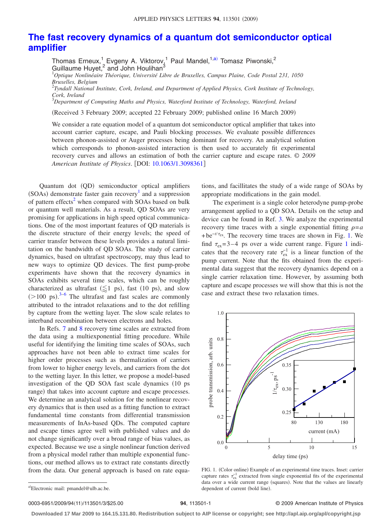## **[The fast recovery dynamics of a quantum dot semiconductor optical](http://dx.doi.org/10.1063/1.3098361) [amplifier](http://dx.doi.org/10.1063/1.3098361)**

Thomas Erneux,<sup>1</sup> Evgeny A. Viktorov,<sup>1</sup> Paul Mandel,<sup>1[,a](#page-1-0))</sup> Tomasz Piwonski,<sup>2</sup> Guillaume Huyet, $^2$  and John Houlihan $^3$ 

1 *Optique Nonlinéaire Théorique, Université Libre de Bruxelles, Campus Plaine, Code Postal 231, 1050 Bruxelles, Belgium*

2 *Tyndall National Institute, Cork, Ireland, and Department of Applied Physics, Cork Institute of Technology, Cork, Ireland*

3 *Department of Computing Maths and Physics, Waterford Institute of Technology, Waterford, Ireland*

Received 3 February 2009; accepted 22 February 2009; published online 16 March 2009-

We consider a rate equation model of a quantum dot semiconductor optical amplifier that takes into account carrier capture, escape, and Pauli blocking processes. We evaluate possible differences between phonon-assisted or Auger processes being dominant for recovery. An analytical solution which corresponds to phonon-assisted interaction is then used to accurately fit experimental recovery curves and allows an estimation of both the carrier capture and escape rates. © *2009 American Institute of Physics*. DOI: [10.1063/1.3098361](http://dx.doi.org/10.1063/1.3098361)

Quantum dot (QD) semiconductor optical amplifiers  $(SOAs)$  demonstrate faster gain recovery<sup>1</sup> and a suppression of pattern effects<sup>2</sup> when compared with SOAs based on bulk or quantum well materials. As a result, QD SOAs are very promising for applications in high speed optical communications. One of the most important features of QD materials is the discrete structure of their energy levels; the speed of carrier transfer between these levels provides a natural limitation on the bandwidth of QD SOAs. The study of carrier dynamics, based on ultrafast spectroscopy, may thus lead to new ways to optimize QD devices. The first pump-probe experiments have shown that the recovery dynamics in SOAs exhibits several time scales, which can be roughly characterized as ultrafast ( $\lessapprox 1$  ps), fast (10 ps), and slow  $($ >100 ps).<sup>[3](#page-3-2)[–6](#page-3-3)</sup> The ultrafast and fast scales are commonly attributed to the intradot relaxations and to the dot refilling by capture from the wetting layer. The slow scale relates to interband recombination between electrons and holes.

In Refs. [7](#page-3-4) and [8](#page-3-5) recovery time scales are extracted from the data using a multiexponential fitting procedure. While useful for identifying the limiting time scales of SOAs, such approaches have not been able to extract time scales for higher order processes such as thermalization of carriers from lower to higher energy levels, and carriers from the dot to the wetting layer. In this letter, we propose a model-based investigation of the QD SOA fast scale dynamics (10 ps range) that takes into account capture and escape processes. We determine an analytical solution for the nonlinear recovery dynamics that is then used as a fitting function to extract fundamental time constants from differential transmission measurements of InAs-based QDs. The computed capture and escape times agree well with published values and do not change significantly over a broad range of bias values, as expected. Because we use a single nonlinear function derived from a physical model rather than multiple exponential functions, our method allows us to extract rate constants directly from the data. Our general approach is based on rate equations, and facillitates the study of a wide range of SOAs by appropriate modifications in the gain model.

The experiment is a single color heterodyne pump-probe arrangement applied to a QD SOA. Details on the setup and device can be found in Ref. [3.](#page-3-2) We analyze the experimental recovery time traces with a single exponential fitting  $\rho = a$ + be<sup>-*t*/ $\tau$ <sub>ex</sub>. The recovery time traces are shown in Fig. [1.](#page-1-1) We</sup> find  $\tau_{ex}$ =3-4 ps over a wide current range. Figure [1](#page-1-1) indicates that the recovery rate  $\tau_{ex}^{-1}$  is a linear function of the pump current. Note that the fits obtained from the experimental data suggest that the recovery dynamics depend on a single carrier relaxation time. However, by assuming both capture and escape processes we will show that this is not the case and extract these two relaxation times.

<span id="page-1-1"></span>

FIG. 1. (Color online) Example of an experimental time traces. Inset: carrier capture rates  $\tau_{\rm ex}^{-1}$  extracted from single exponential fits of the experimental data over a wide current range (squares). Note that the values are linearly dependent of current (bold line).

0003-6951/2009/94(11)/113501/3/\$25.00

#### **94**, 113501-1 © 2009 American Institute of Physics

**Downloaded 17 Mar 2009 to 164.15.131.80. Redistribution subject to AIP license or copyright; see http://apl.aip.org/apl/copyright.jsp**

<span id="page-1-0"></span>a)Electronic mail: pmandel@ulb.ac.be.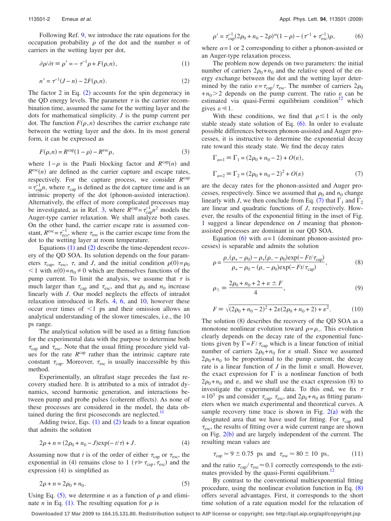<span id="page-2-1"></span>Following Ref. [9,](#page-3-6) we introduce the rate equations for the occupation probability  $\rho$  of the dot and the number *n* of carriers in the wetting layer per dot,

<span id="page-2-0"></span>
$$
\partial \rho / \partial t \equiv \rho' = -\tau^{-1} \rho + F(\rho, n), \tag{1}
$$

$$
n' = \tau^{-1}(J - n) - 2F(\rho, n). \tag{2}
$$

The factor [2](#page-2-0) in Eq.  $(2)$  accounts for the spin degeneracy in the QD energy levels. The parameter  $\tau$  is the carrier recombination time, assumed the same for the wetting layer and the dots for mathematical simplicity. *J* is the pump current per dot. The function  $F(\rho, n)$  describes the carrier exchange rate between the wetting layer and the dots. In its most general form, it can be expressed as

$$
F(\rho, n) = R^{\text{cap}}(1 - \rho) - R^{\text{esc}}\rho,\tag{3}
$$

where  $1-\rho$  is the Pauli blocking factor and  $R^{cap}(n)$  and  $R^{\text{esc}}(n)$  are defined as the carrier capture and escape rates, respectively. For the capture process, we consider *R*cap  $=\tau_{\text{cap}}^{-1}n$ , where  $\tau_{\text{cap}}$  is defined as the dot capture time and is an intrinsic property of the dot (phonon-assisted interaction). Alternatively, the effect of more complicated processes may be investigated, as in Ref. [3,](#page-3-2) where  $R^{cap} = \tau_{cap}^{-1} n^2$  models the Auger-type carrier relaxation. We shall analyze both cases. On the other hand, the carrier escape rate is assumed constant,  $R^{\text{esc}} = \tau_{\text{esc}}^{-1}$ , where  $\tau_{\text{esc}}$  is the carrier escape time from the dot to the wetting layer at room temperature.

Equations  $(1)$  $(1)$  $(1)$  and  $(2)$  $(2)$  $(2)$  describe the time-dependent recovery of the QD SOA. Its solution depends on the four parameters  $\tau_{\text{cap}}$ ,  $\tau_{\text{esc}}$ ,  $\tau$ , and *J*, and the initial condition  $\rho(0) = \rho_0$  $1$  with  $n(0) = n_0 \neq 0$  which are themselves functions of the pump current. To limit the analysis, we assume that  $\tau$  is much larger than  $\tau_{\text{cap}}$  and  $\tau_{\text{esc}}$ , and that  $\rho_0$  and  $n_0$  increase linearly with *J*. Our model neglects the effects of intradot relaxation introduced in Refs. [4,](#page-3-7) [6,](#page-3-3) and [10,](#page-3-8) however these occur over times of  $\leq 1$  ps and their omission allows an analytical understanding of the slower timescales, i.e., the 10 ps range.

The analytical solution will be used as a fitting function for the experimental data with the purpose to determine both  $\tau_{\text{cap}}$  and  $\tau_{\text{esc}}$ . Note that the usual fitting procedure yield values for the rate  $R^{cap}$  rather than the intrinsic capture rate constant  $\tau_{\text{can}}$ . Moreover,  $\tau_{\text{esc}}$  is usually inaccessible by this method.

Experimentally, an ultrafast stage precedes the fast recovery studied here. It is attributed to a mix of intradot dynamics, second harmonic generation, and interactions between pump and probe pulses (coherent effects). As none of these processes are considered in the model, the data obtained during the first picoseconds are neglected. $<sup>1</sup>$ </sup>

Adding twice, Eqs.  $(1)$  $(1)$  $(1)$  and  $(2)$  $(2)$  $(2)$  leads to a linear equation that admits the solution

$$
2\rho + n = (2\rho_0 + n_0 - J)\exp(-t/\tau) + J.
$$
 (4)

<span id="page-2-2"></span>Assuming now that *t* is of the order of either  $\tau_{cap}$  or  $\tau_{esc}$ , the exponential in (4) remains close to 1 ( $\tau \gg \tau_{\text{cap}}$ ,  $\tau_{\text{esc}}$ ) and the expression (4) is simplified as

$$
2\rho + n = 2\rho_0 + n_0. \tag{5}
$$

Using Eq. ([5](#page-2-2)), we determine *n* as a function of  $\rho$  and eliminate *n* in Eq. ([1](#page-2-1)). The resulting equation for  $\rho$  is

<span id="page-2-3"></span>
$$
\rho' = \tau_{\text{cap}}^{-1} (2\rho_0 + n_0 - 2\rho)^{\alpha} (1 - \rho) - (\tau^{-1} + \tau_{\text{esc}}^{-1}) \rho,\tag{6}
$$

where  $\alpha = 1$  or 2 corresponding to either a phonon-assisted or an Auger-type relaxation process.

The problem now depends on two parameters: the initial number of carriers  $2\rho_0 + n_0$  and the relative speed of the energy exchange between the dot and the wetting layer determined by the ratio  $\varepsilon = \tau_{cap} / \tau_{esc}$ . The number of carriers  $2\rho_0$  $+n_0>2$  depends on the pump current. The ratio  $\varepsilon$  can be estimated via quasi-Fermi equilibrium condition $12$  which gives  $\varepsilon \ll 1$ .

<span id="page-2-4"></span>With these conditions, we find that  $\rho \leq 1$  is the only stable steady state solution of Eq.  $(6)$  $(6)$  $(6)$ . In order to evaluate possible differences between phonon-assisted and Auger processes, it is instructive to determine the exponential decay rate toward this steady state. We find the decay rates

$$
\Gamma_{\alpha=1} \equiv \Gamma_1 = (2\rho_0 + n_0 - 2) + O(\varepsilon),
$$
  
\n
$$
\Gamma_{\alpha=2} \equiv \Gamma_2 = (2\rho_0 + n_0 - 2)^2 + O(\varepsilon)
$$
\n(7)

are the decay rates for the phonon-assisted and Auger processes, respectively. Since we assumed that  $\rho_0$  and  $n_0$  change linearly with *J*, we then conclude from Eq. ([7](#page-2-4)) that  $\Gamma_1$  and  $\Gamma_2$ are linear and quadratic functions of *J*, respectively. However, the results of the exponential fitting in the inset of Fig. [1](#page-1-1) suggest a linear dependence on *J* meaning that phononassisted processes are dominant in our QD SOA.

<span id="page-2-5"></span>Equation ([6](#page-2-3)) with  $\alpha = 1$  (dominant phonon-assisted processes) is separable and admits the solution

$$
\rho = \frac{\rho_{-}(\rho_{+} - \rho_{0}) - \rho_{+}(\rho_{-} - \rho_{0}) \exp(-Ft/\tau_{cap})}{\rho_{+} - \rho_{0} - (\rho_{-} - \rho_{0}) \exp(-Ft/\tau_{cap})},
$$
\n(8)

$$
\rho_{\pm} \equiv \frac{2\rho_0 + n_0 + 2 + \varepsilon \pm F}{4},\tag{9}
$$

$$
F \equiv \sqrt{(2\rho_0 + n_0 - 2)^2 + 2\varepsilon(2\rho_0 + n_0 + 2) + \varepsilon^2}.
$$
 (10)

The solution (8) describes the recovery of the QD SOA as a monotone nonlinear evolution toward  $\rho = \rho_{-}$ . This evolution clearly depends on the decay rate of the exponential functions given by  $\Gamma = F / \tau_{cap}$  which is a linear function of initial number of carriers  $2\rho_0 + n_0$  for  $\varepsilon$  small. Since we assumed  $2\rho_0 + n_0$  to be proportional to the pump current, the decay rate is a linear function of  $J$  in the limit  $\varepsilon$  small. However, the exact expression for  $\Gamma$  is a nonlinear function of both  $2\rho_0 + n_0$  and  $\varepsilon$ , and we shall use the exact expression (8) to investigate the experimental data. To this end, we fix  $\tau$  $= 10^3$  ps and consider  $\tau_{\text{cap}}$ ,  $\tau_{\text{esc}}$ , and  $2\rho_0 + n_0$  as fitting parameters when we match experimental and theoretical curves. A sample recovery time trace is shown in Fig.  $2(a)$  $2(a)$  with the designated area that we have used for fitting. For  $\tau_{\text{cap}}$  and  $\tau_{\rm esc}$ , the [resu](#page-3-11)lts of fitting over a wide current range are shown on Fig.  $2(b)$  and are largely independent of the current. The resulting mean values are

$$
\tau_{\text{cap}} \simeq 9 \pm 0.75 \text{ ps and } \tau_{\text{esc}} \simeq 80 \pm 10 \text{ ps}, \tag{11}
$$

and the ratio  $\tau_{\rm cap} / \tau_{\rm esc} \approx 0.1$  correctly corresponds to the estimates provided by the quasi-Fermi equilibrium.<sup>12</sup>

By contrast to the conventional multiexponential fitting procedure, using the nonlinear evolution function in Eq.  $(8)$  $(8)$  $(8)$ offers several advantages. First, it corresponds to the short time solution of a rate equation model for the relaxation of

**Downloaded 17 Mar 2009 to 164.15.131.80. Redistribution subject to AIP license or copyright; see http://apl.aip.org/apl/copyright.jsp**